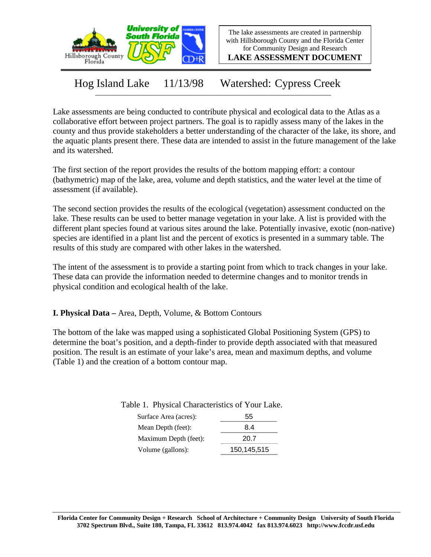

The lake assessments are created in partnership with Hillsborough County and the Florida Center for Community Design and Research

**LAKE ASSESSMENT DOCUMENT**

Hog Island Lake 11/13/98 Watershed: Cypress Creek

Lake assessments are being conducted to contribute physical and ecological data to the Atlas as a collaborative effort between project partners. The goal is to rapidly assess many of the lakes in the county and thus provide stakeholders a better understanding of the character of the lake, its shore, and the aquatic plants present there. These data are intended to assist in the future management of the lake and its watershed.

The first section of the report provides the results of the bottom mapping effort: a contour (bathymetric) map of the lake, area, volume and depth statistics, and the water level at the time of assessment (if available).

The second section provides the results of the ecological (vegetation) assessment conducted on the lake. These results can be used to better manage vegetation in your lake. A list is provided with the different plant species found at various sites around the lake. Potentially invasive, exotic (non-native) species are identified in a plant list and the percent of exotics is presented in a summary table. The results of this study are compared with other lakes in the watershed.

The intent of the assessment is to provide a starting point from which to track changes in your lake. These data can provide the information needed to determine changes and to monitor trends in physical condition and ecological health of the lake.

**I. Physical Data –** Area, Depth, Volume, & Bottom Contours

The bottom of the lake was mapped using a sophisticated Global Positioning System (GPS) to determine the boat's position, and a depth-finder to provide depth associated with that measured position. The result is an estimate of your lake's area, mean and maximum depths, and volume (Table 1) and the creation of a bottom contour map.

Table 1. Physical Characteristics of Your Lake.

| Surface Area (acres): | 55          |
|-----------------------|-------------|
| Mean Depth (feet):    | 8.4         |
| Maximum Depth (feet): | 20.7        |
| Volume (gallons):     | 150,145,515 |
|                       |             |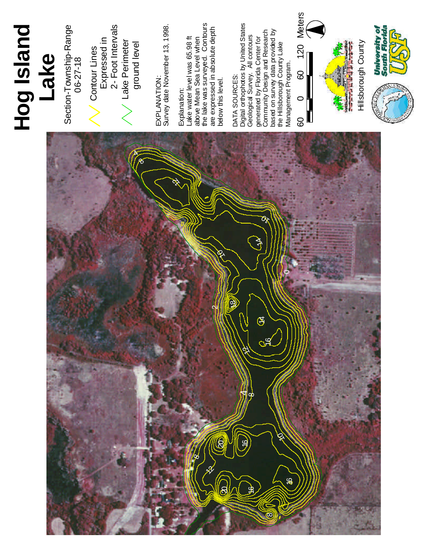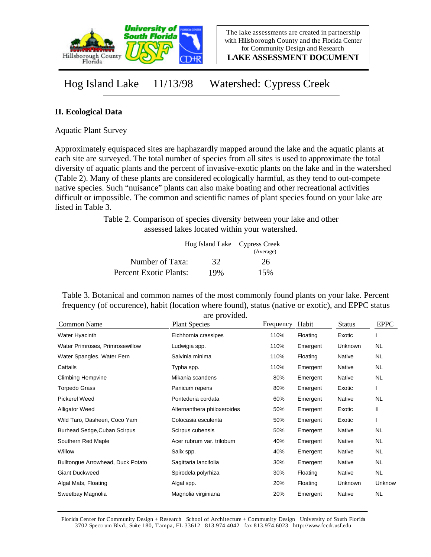

**LAKE ASSESSMENT DOCUMENT**

Hog Island Lake 11/13/98 Watershed: Cypress Creek

## **II. Ecological Data**

Aquatic Plant Survey

Approximately equispaced sites are haphazardly mapped around the lake and the aquatic plants at each site are surveyed. The total number of species from all sites is used to approximate the total diversity of aquatic plants and the percent of invasive-exotic plants on the lake and in the watershed (Table 2). Many of these plants are considered ecologically harmful, as they tend to out-compete native species. Such "nuisance" plants can also make boating and other recreational activities difficult or impossible. The common and scientific names of plant species found on your lake are listed in Table 3.

> Table 2. Comparison of species diversity between your lake and other assessed lakes located within your watershed.

|                        |     | Hog Island Lake Cypress Creek<br>(Average) |  |
|------------------------|-----|--------------------------------------------|--|
| Number of Taxa:        | 32  | 26                                         |  |
| Percent Exotic Plants: | 19% | 15%                                        |  |

Table 3. Botanical and common names of the most commonly found plants on your lake. Percent frequency (of occurence), habit (location where found), status (native or exotic), and EPPC status are provided.

| Common Name                       | <b>Plant Species</b>        | Frequency | Habit    | <b>Status</b> | <b>EPPC</b> |
|-----------------------------------|-----------------------------|-----------|----------|---------------|-------------|
| Water Hyacinth                    | Eichhornia crassipes        | 110%      | Floating | Exotic        |             |
| Water Primroses, Primrosewillow   | Ludwigia spp.               | 110%      | Emergent | Unknown       | NL.         |
| Water Spangles, Water Fern        | Salvinia minima             | 110%      | Floating | Native        | <b>NL</b>   |
| Cattails                          | Typha spp.                  | 110%      | Emergent | Native        | <b>NL</b>   |
| <b>Climbing Hempvine</b>          | Mikania scandens            | 80%       | Emergent | Native        | <b>NL</b>   |
| Torpedo Grass                     | Panicum repens              | 80%       | Emergent | Exotic        |             |
| <b>Pickerel Weed</b>              | Pontederia cordata          | 60%       | Emergent | Native        | <b>NL</b>   |
| <b>Alligator Weed</b>             | Alternanthera philoxeroides | 50%       | Emergent | Exotic        | Ш           |
| Wild Taro, Dasheen, Coco Yam      | Colocasia esculenta         | 50%       | Emergent | Exotic        |             |
| Burhead Sedge, Cuban Scirpus      | Scirpus cubensis            | 50%       | Emergent | Native        | NL          |
| Southern Red Maple                | Acer rubrum var. trilobum   | 40%       | Emergent | Native        | NL          |
| Willow                            | Salix spp.                  | 40%       | Emergent | Native        | <b>NL</b>   |
| Bulltongue Arrowhead, Duck Potato | Sagittaria lancifolia       | 30%       | Emergent | Native        | <b>NL</b>   |
| <b>Giant Duckweed</b>             | Spirodela polyrhiza         | 30%       | Floating | Native        | <b>NL</b>   |
| Algal Mats, Floating              | Algal spp.                  | 20%       | Floating | Unknown       | Unknow      |
| Sweetbay Magnolia                 | Magnolia virginiana         | 20%       | Emergent | Native        | <b>NL</b>   |

Florida Center for Community Design + Research School of Architecture + Community Design University of South Florida 3702 Spectrum Blvd., Suite 180, Tampa, FL 33612 813.974.4042 fax 813.974.6023 http://www.fccdr.usf.edu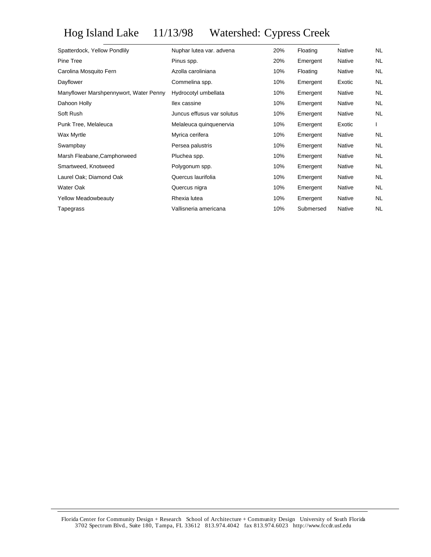## Hog Island Lake 11/13/98 Watershed: Cypress Creek

| Spatterdock, Yellow Pondlily           | Nuphar lutea var. advena   | 20% | Floating  | Native | NL        |
|----------------------------------------|----------------------------|-----|-----------|--------|-----------|
| Pine Tree                              | Pinus spp.                 | 20% | Emergent  | Native | NL        |
| Carolina Mosquito Fern                 | Azolla caroliniana         | 10% | Floating  | Native | NL        |
| Dayflower                              | Commelina spp.             | 10% | Emergent  | Exotic | <b>NL</b> |
| Manyflower Marshpennywort, Water Penny | Hydrocotyl umbellata       | 10% | Emergent  | Native | NL        |
| Dahoon Holly                           | llex cassine               | 10% | Emergent  | Native | NL        |
| Soft Rush                              | Juncus effusus var solutus | 10% | Emergent  | Native | NL        |
| Punk Tree, Melaleuca                   | Melaleuca quinquenervia    | 10% | Emergent  | Exotic |           |
| Wax Myrtle                             | Myrica cerifera            | 10% | Emergent  | Native | NL        |
| Swampbay                               | Persea palustris           | 10% | Emergent  | Native | NL        |
| Marsh Fleabane, Camphorweed            | Pluchea spp.               | 10% | Emergent  | Native | NL        |
| Smartweed, Knotweed                    | Polygonum spp.             | 10% | Emergent  | Native | NL        |
| Laurel Oak; Diamond Oak                | Quercus laurifolia         | 10% | Emergent  | Native | NL        |
| Water Oak                              | Quercus nigra              | 10% | Emergent  | Native | NL        |
| <b>Yellow Meadowbeauty</b>             | Rhexia lutea               | 10% | Emergent  | Native | NL        |
| Tapegrass                              | Vallisneria americana      | 10% | Submersed | Native | <b>NL</b> |
|                                        |                            |     |           |        |           |